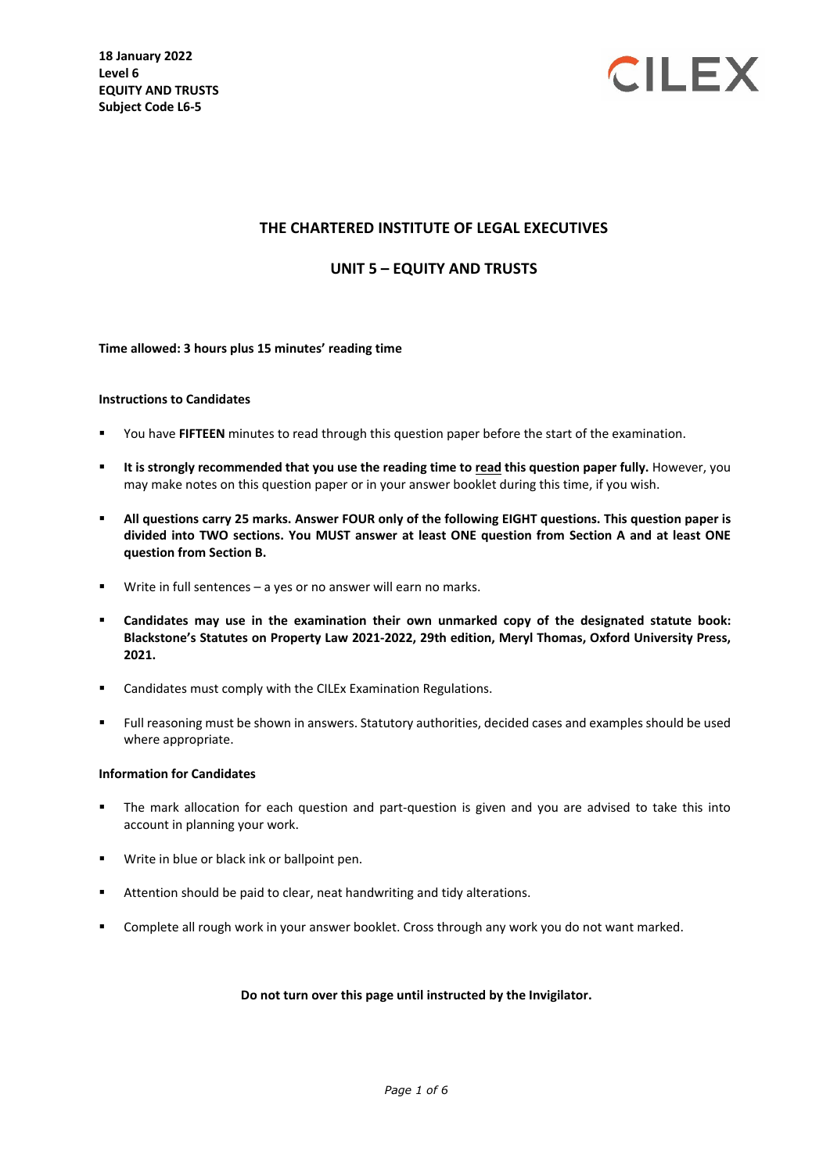

## **THE CHARTERED INSTITUTE OF LEGAL EXECUTIVES**

#### **UNIT 5 – EQUITY AND TRUSTS**

#### **Time allowed: 3 hours plus 15 minutes' reading time**

#### **Instructions to Candidates**

- You have **FIFTEEN** minutes to read through this question paper before the start of the examination.
- **It is strongly recommended that you use the reading time to read this question paper fully.** However, you may make notes on this question paper or in your answer booklet during this time, if you wish.
- **All questions carry 25 marks. Answer FOUR only of the following EIGHT questions. This question paper is divided into TWO sections. You MUST answer at least ONE question from Section A and at least ONE question from Section B.**
- Write in full sentences a yes or no answer will earn no marks.
- **Candidates may use in the examination their own unmarked copy of the designated statute book: Blackstone's Statutes on Property Law 2021-2022, 29th edition, Meryl Thomas, Oxford University Press, 2021.**
- Candidates must comply with the CILEx Examination Regulations.
- Full reasoning must be shown in answers. Statutory authorities, decided cases and examples should be used where appropriate.

#### **Information for Candidates**

- The mark allocation for each question and part-question is given and you are advised to take this into account in planning your work.
- **Write in blue or black ink or ballpoint pen.**
- Attention should be paid to clear, neat handwriting and tidy alterations.
- Complete all rough work in your answer booklet. Cross through any work you do not want marked.

#### **Do not turn over this page until instructed by the Invigilator.**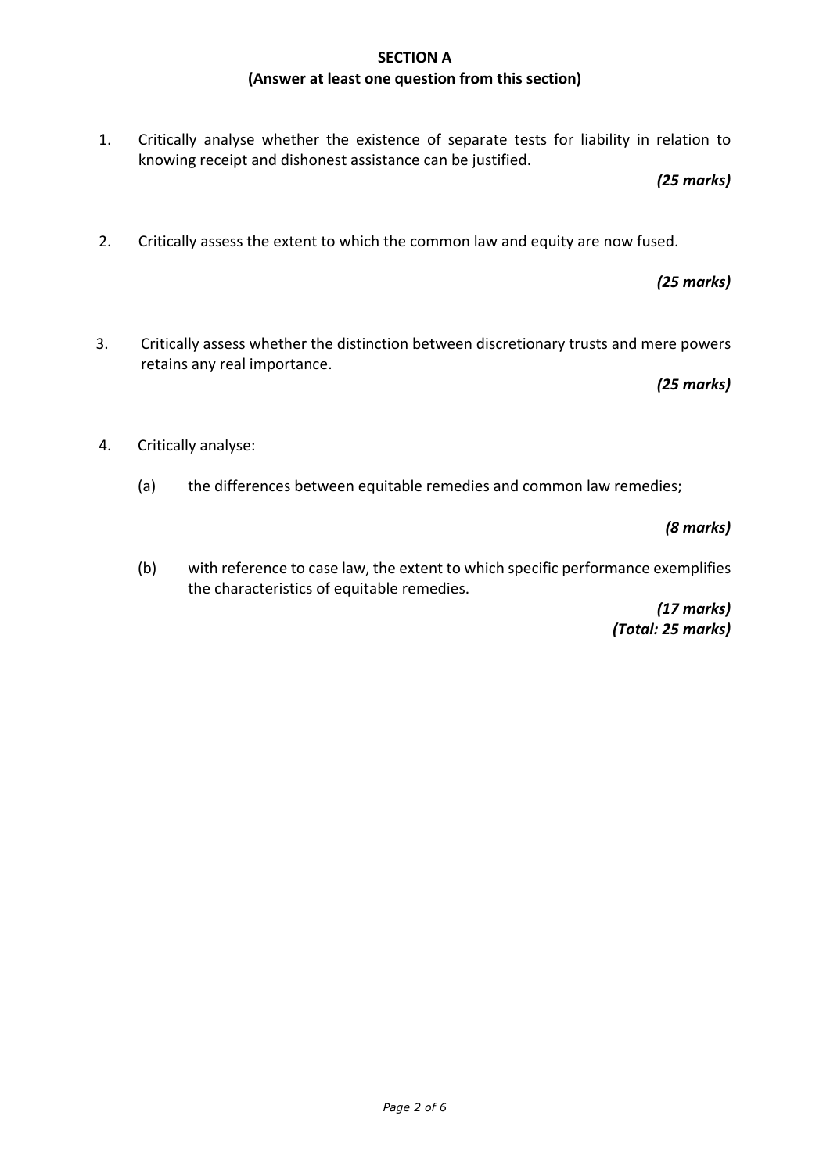# **SECTION A (Answer at least one question from this section)**

1. Critically analyse whether the existence of separate tests for liability in relation to knowing receipt and dishonest assistance can be justified.

## *(25 marks)*

2. Critically assess the extent to which the common law and equity are now fused.

# *(25 marks)*

3. Critically assess whether the distinction between discretionary trusts and mere powers retains any real importance.

## *(25 marks)*

- 4. Critically analyse:
	- (a) the differences between equitable remedies and common law remedies;

*(8 marks)*

(b) with reference to case law, the extent to which specific performance exemplifies the characteristics of equitable remedies.

> *(17 marks) (Total: 25 marks)*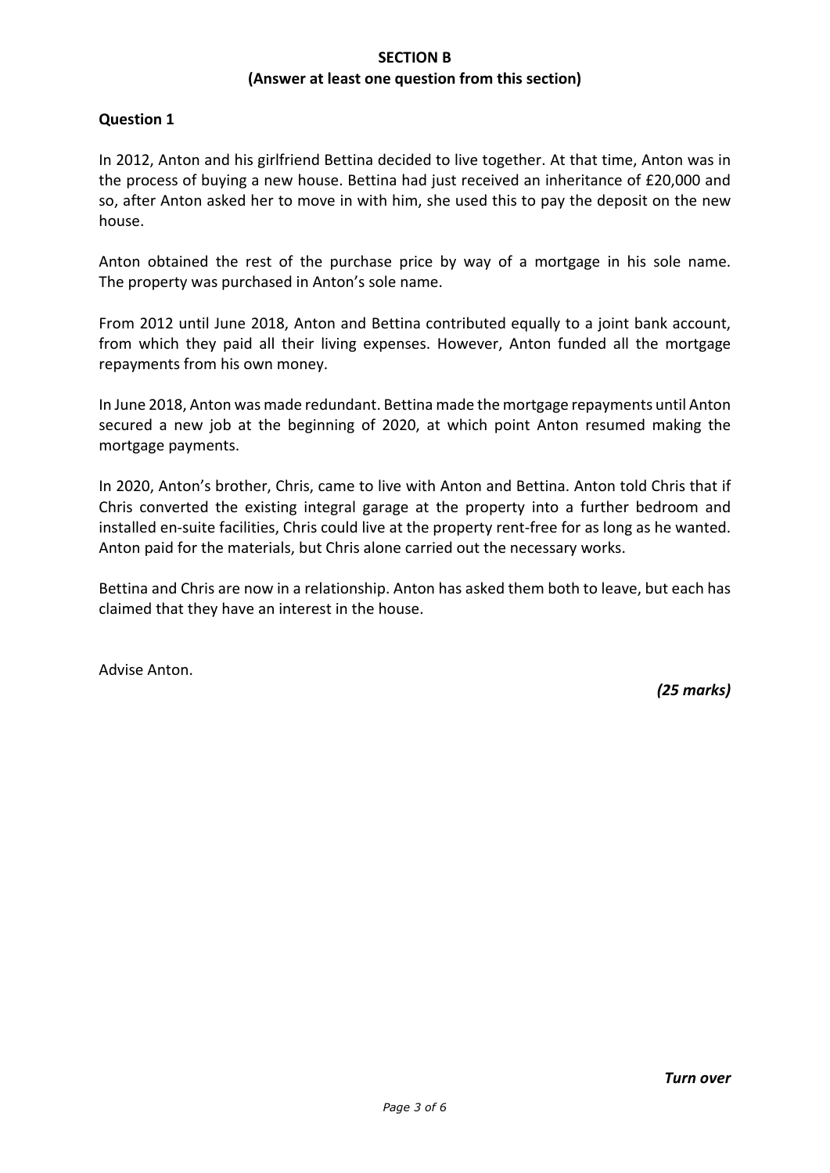# **SECTION B (Answer at least one question from this section)**

## **Question 1**

In 2012, Anton and his girlfriend Bettina decided to live together. At that time, Anton was in the process of buying a new house. Bettina had just received an inheritance of £20,000 and so, after Anton asked her to move in with him, she used this to pay the deposit on the new house.

Anton obtained the rest of the purchase price by way of a mortgage in his sole name. The property was purchased in Anton's sole name.

From 2012 until June 2018, Anton and Bettina contributed equally to a joint bank account, from which they paid all their living expenses. However, Anton funded all the mortgage repayments from his own money.

In June 2018, Anton was made redundant. Bettina made the mortgage repayments until Anton secured a new job at the beginning of 2020, at which point Anton resumed making the mortgage payments.

In 2020, Anton's brother, Chris, came to live with Anton and Bettina. Anton told Chris that if Chris converted the existing integral garage at the property into a further bedroom and installed en-suite facilities, Chris could live at the property rent-free for as long as he wanted. Anton paid for the materials, but Chris alone carried out the necessary works.

Bettina and Chris are now in a relationship. Anton has asked them both to leave, but each has claimed that they have an interest in the house.

Advise Anton.

*(25 marks)*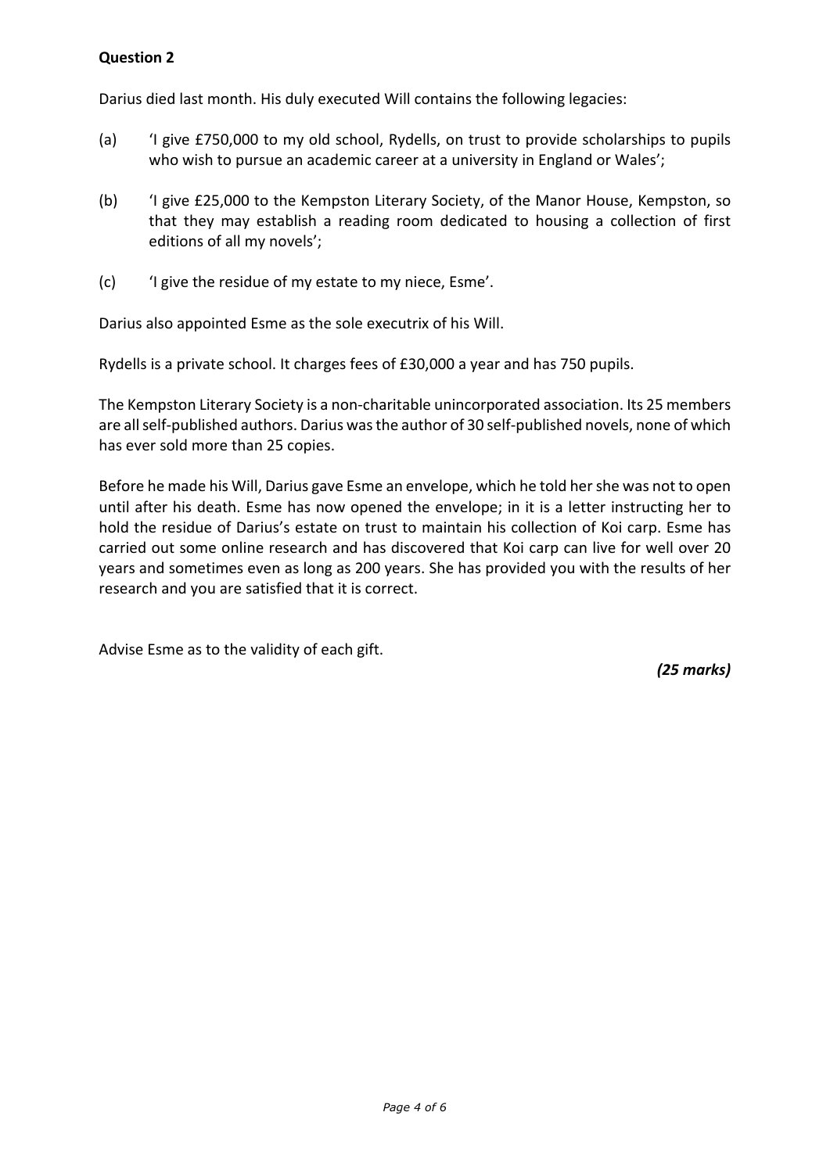# **Question 2**

Darius died last month. His duly executed Will contains the following legacies:

- (a) 'I give £750,000 to my old school, Rydells, on trust to provide scholarships to pupils who wish to pursue an academic career at a university in England or Wales';
- (b) 'I give £25,000 to the Kempston Literary Society, of the Manor House, Kempston, so that they may establish a reading room dedicated to housing a collection of first editions of all my novels';
- (c) 'I give the residue of my estate to my niece, Esme'.

Darius also appointed Esme as the sole executrix of his Will.

Rydells is a private school. It charges fees of £30,000 a year and has 750 pupils.

The Kempston Literary Society is a non-charitable unincorporated association. Its 25 members are all self-published authors. Darius was the author of 30 self-published novels, none of which has ever sold more than 25 copies.

Before he made his Will, Darius gave Esme an envelope, which he told her she was not to open until after his death. Esme has now opened the envelope; in it is a letter instructing her to hold the residue of Darius's estate on trust to maintain his collection of Koi carp. Esme has carried out some online research and has discovered that Koi carp can live for well over 20 years and sometimes even as long as 200 years. She has provided you with the results of her research and you are satisfied that it is correct.

Advise Esme as to the validity of each gift.

*(25 marks)*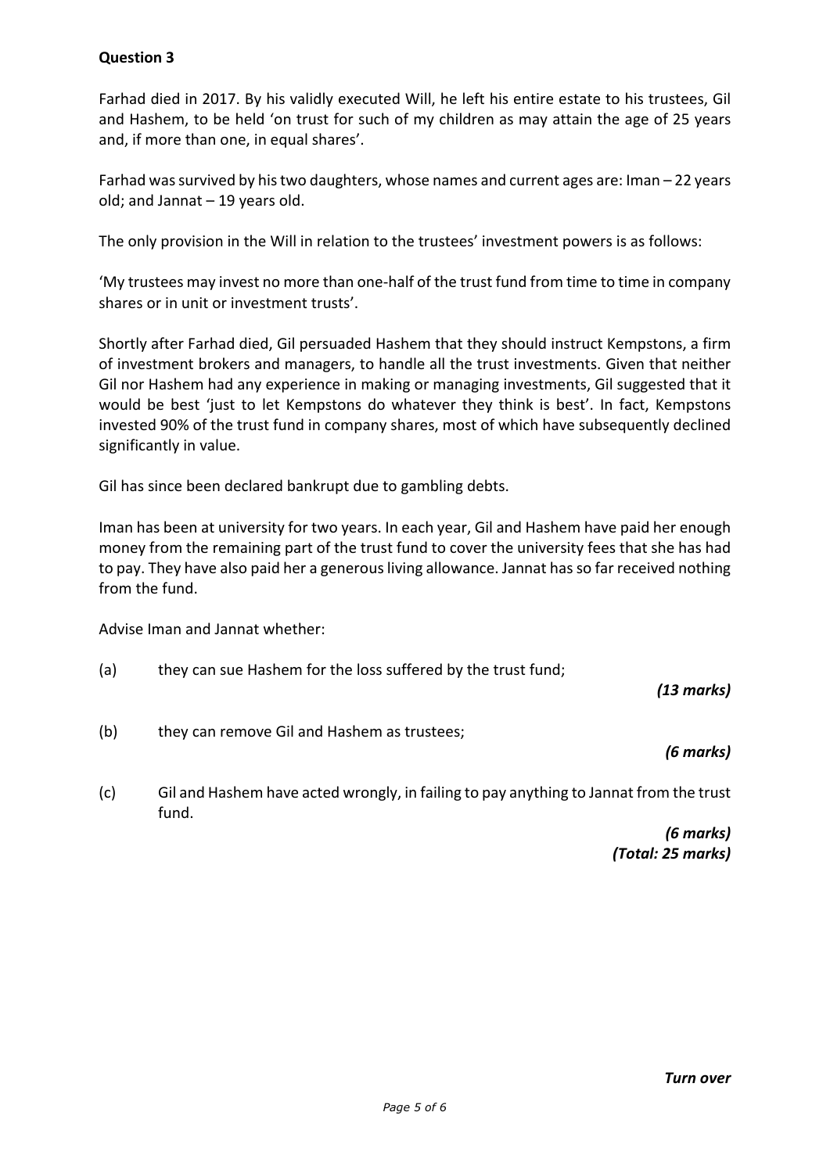# **Question 3**

Farhad died in 2017. By his validly executed Will, he left his entire estate to his trustees, Gil and Hashem, to be held 'on trust for such of my children as may attain the age of 25 years and, if more than one, in equal shares'.

Farhad was survived by his two daughters, whose names and current ages are: Iman – 22 years old; and Jannat – 19 years old.

The only provision in the Will in relation to the trustees' investment powers is as follows:

'My trustees may invest no more than one-half of the trust fund from time to time in company shares or in unit or investment trusts'.

Shortly after Farhad died, Gil persuaded Hashem that they should instruct Kempstons, a firm of investment brokers and managers, to handle all the trust investments. Given that neither Gil nor Hashem had any experience in making or managing investments, Gil suggested that it would be best 'just to let Kempstons do whatever they think is best'. In fact, Kempstons invested 90% of the trust fund in company shares, most of which have subsequently declined significantly in value.

Gil has since been declared bankrupt due to gambling debts.

Iman has been at university for two years. In each year, Gil and Hashem have paid her enough money from the remaining part of the trust fund to cover the university fees that she has had to pay. They have also paid her a generous living allowance. Jannat has so far received nothing from the fund.

Advise Iman and Jannat whether:

(a) they can sue Hashem for the loss suffered by the trust fund;

*(13 marks)*

(b) they can remove Gil and Hashem as trustees;

*(6 marks)*

(c) Gil and Hashem have acted wrongly, in failing to pay anything to Jannat from the trust fund.

> *(6 marks) (Total: 25 marks)*